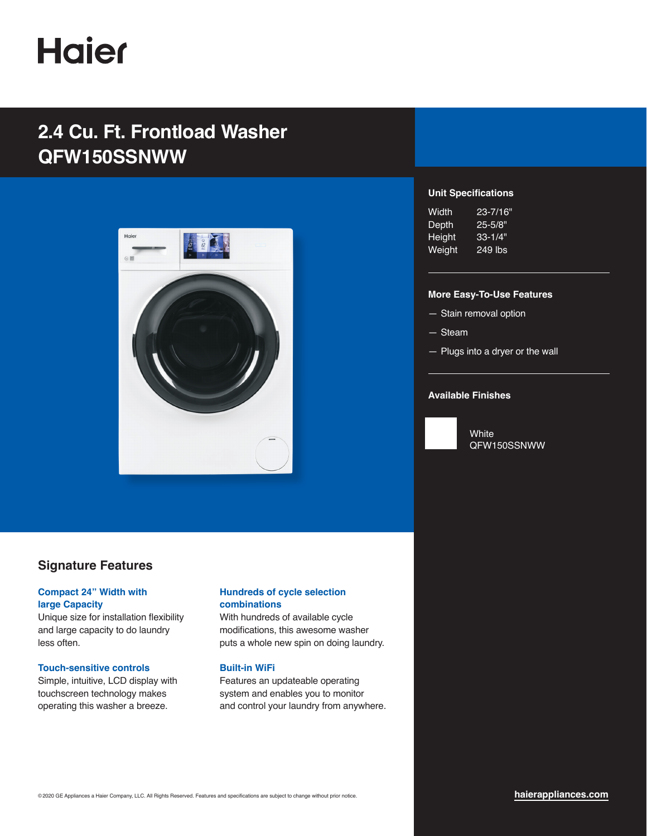# **Haier**

## **2.4 Cu. Ft. Frontload Washer QFW150SSNWW**



### **Signature Features**

#### **Compact 24" Width with large Capacity**

Unique size for installation flexibility and large capacity to do laundry less often.

#### **Touch-sensitive controls**

Simple, intuitive, LCD display with touchscreen technology makes operating this washer a breeze.

#### **Hundreds of cycle selection combinations**

With hundreds of available cycle modifications, this awesome washer puts a whole new spin on doing laundry.

#### **Built-in WiFi**

Features an updateable operating system and enables you to monitor and control your laundry from anywhere.

#### **Unit Specifications**

| Width  | 23-7/16"    |
|--------|-------------|
| Depth  | $25 - 5/8"$ |
| Height | $33 - 1/4"$ |
| Weight | 249 lbs     |

#### **More Easy-To-Use Features**

- Stain removal option
- Steam
- Plugs into a dryer or the wall

#### **Available Finishes**



**White** QFW150SSNWW